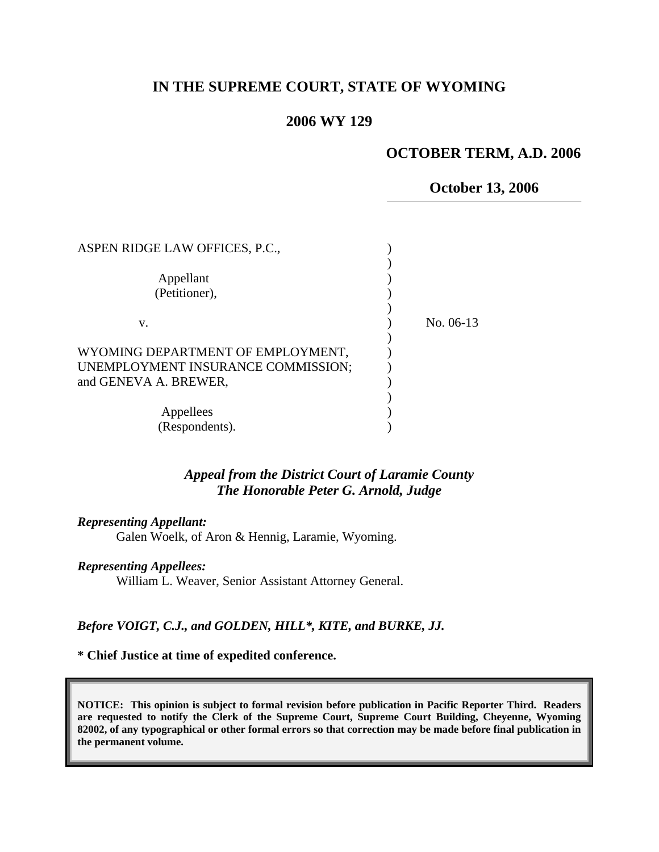# **IN THE SUPREME COURT, STATE OF WYOMING**

## **2006 WY 129**

### **OCTOBER TERM, A.D. 2006**

### **October 13, 2006**

| ASPEN RIDGE LAW OFFICES, P.C.,                                                                   |           |
|--------------------------------------------------------------------------------------------------|-----------|
| Appellant<br>(Petitioner),                                                                       |           |
| v.                                                                                               | No. 06-13 |
| WYOMING DEPARTMENT OF EMPLOYMENT,<br>UNEMPLOYMENT INSURANCE COMMISSION;<br>and GENEVA A. BREWER, |           |
| Appellees<br>(Respondents).                                                                      |           |

## *Appeal from the District Court of Laramie County The Honorable Peter G. Arnold, Judge*

#### *Representing Appellant:*

Galen Woelk, of Aron & Hennig, Laramie, Wyoming.

### *Representing Appellees:*

William L. Weaver, Senior Assistant Attorney General.

### *Before VOIGT, C.J., and GOLDEN, HILL\*, KITE, and BURKE, JJ.*

#### **\* Chief Justice at time of expedited conference.**

**NOTICE: This opinion is subject to formal revision before publication in Pacific Reporter Third. Readers are requested to notify the Clerk of the Supreme Court, Supreme Court Building, Cheyenne, Wyoming 82002, of any typographical or other formal errors so that correction may be made before final publication in the permanent volume.**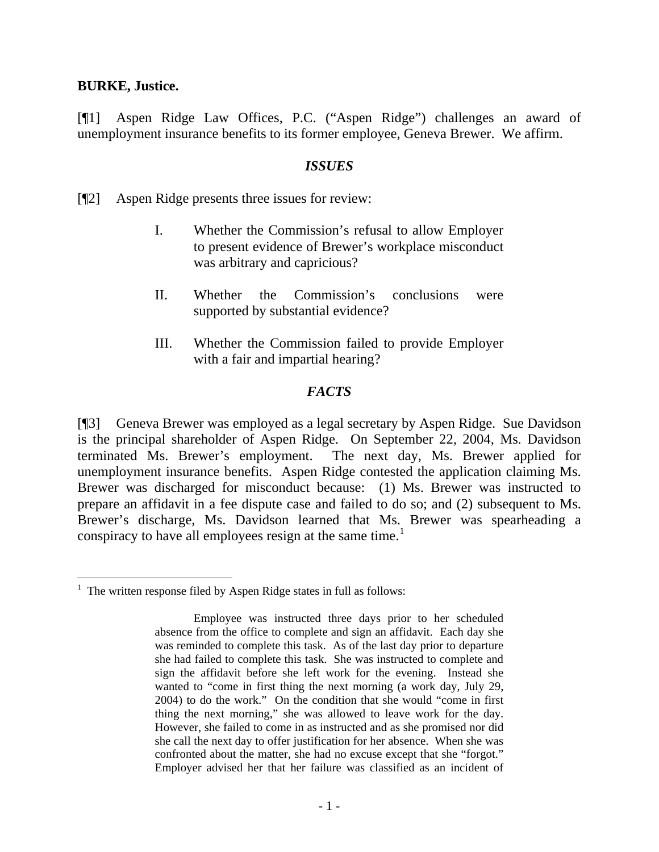### **BURKE, Justice.**

[¶1] Aspen Ridge Law Offices, P.C. ("Aspen Ridge") challenges an award of unemployment insurance benefits to its former employee, Geneva Brewer. We affirm.

## *ISSUES*

[¶2] Aspen Ridge presents three issues for review:

- I. Whether the Commission's refusal to allow Employer to present evidence of Brewer's workplace misconduct was arbitrary and capricious?
- II. Whether the Commission's conclusions were supported by substantial evidence?
- III. Whether the Commission failed to provide Employer with a fair and impartial hearing?

# *FACTS*

[¶3] Geneva Brewer was employed as a legal secretary by Aspen Ridge. Sue Davidson is the principal shareholder of Aspen Ridge. On September 22, 2004, Ms. Davidson terminated Ms. Brewer's employment. The next day, Ms. Brewer applied for unemployment insurance benefits. Aspen Ridge contested the application claiming Ms. Brewer was discharged for misconduct because: (1) Ms. Brewer was instructed to prepare an affidavit in a fee dispute case and failed to do so; and (2) subsequent to Ms. Brewer's discharge, Ms. Davidson learned that Ms. Brewer was spearheading a conspiracy to have all employees resign at the same time.<sup>[1](#page-1-0)</sup>

<span id="page-1-0"></span> $\overline{a}$  $<sup>1</sup>$  The written response filed by Aspen Ridge states in full as follows:</sup>

Employee was instructed three days prior to her scheduled absence from the office to complete and sign an affidavit. Each day she was reminded to complete this task. As of the last day prior to departure she had failed to complete this task. She was instructed to complete and sign the affidavit before she left work for the evening. Instead she wanted to "come in first thing the next morning (a work day, July 29, 2004) to do the work." On the condition that she would "come in first thing the next morning," she was allowed to leave work for the day. However, she failed to come in as instructed and as she promised nor did she call the next day to offer justification for her absence. When she was confronted about the matter, she had no excuse except that she "forgot." Employer advised her that her failure was classified as an incident of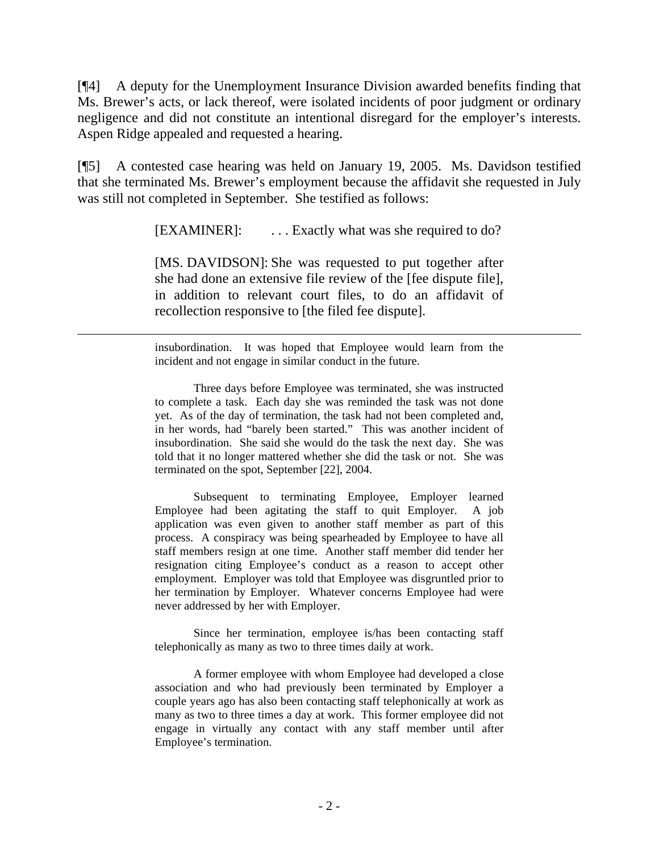[¶4] A deputy for the Unemployment Insurance Division awarded benefits finding that Ms. Brewer's acts, or lack thereof, were isolated incidents of poor judgment or ordinary negligence and did not constitute an intentional disregard for the employer's interests. Aspen Ridge appealed and requested a hearing.

[¶5] A contested case hearing was held on January 19, 2005. Ms. Davidson testified that she terminated Ms. Brewer's employment because the affidavit she requested in July was still not completed in September. She testified as follows:

[EXAMINER]: ... Exactly what was she required to do?

[MS. DAVIDSON]: She was requested to put together after she had done an extensive file review of the [fee dispute file], in addition to relevant court files, to do an affidavit of recollection responsive to [the filed fee dispute].

insubordination. It was hoped that Employee would learn from the incident and not engage in similar conduct in the future.

 $\overline{a}$ 

 Three days before Employee was terminated, she was instructed to complete a task. Each day she was reminded the task was not done yet. As of the day of termination, the task had not been completed and, in her words, had "barely been started." This was another incident of insubordination. She said she would do the task the next day. She was told that it no longer mattered whether she did the task or not. She was terminated on the spot, September [22], 2004.

 Subsequent to terminating Employee, Employer learned Employee had been agitating the staff to quit Employer. A job application was even given to another staff member as part of this process. A conspiracy was being spearheaded by Employee to have all staff members resign at one time. Another staff member did tender her resignation citing Employee's conduct as a reason to accept other employment. Employer was told that Employee was disgruntled prior to her termination by Employer. Whatever concerns Employee had were never addressed by her with Employer.

 Since her termination, employee is/has been contacting staff telephonically as many as two to three times daily at work.

 A former employee with whom Employee had developed a close association and who had previously been terminated by Employer a couple years ago has also been contacting staff telephonically at work as many as two to three times a day at work. This former employee did not engage in virtually any contact with any staff member until after Employee's termination.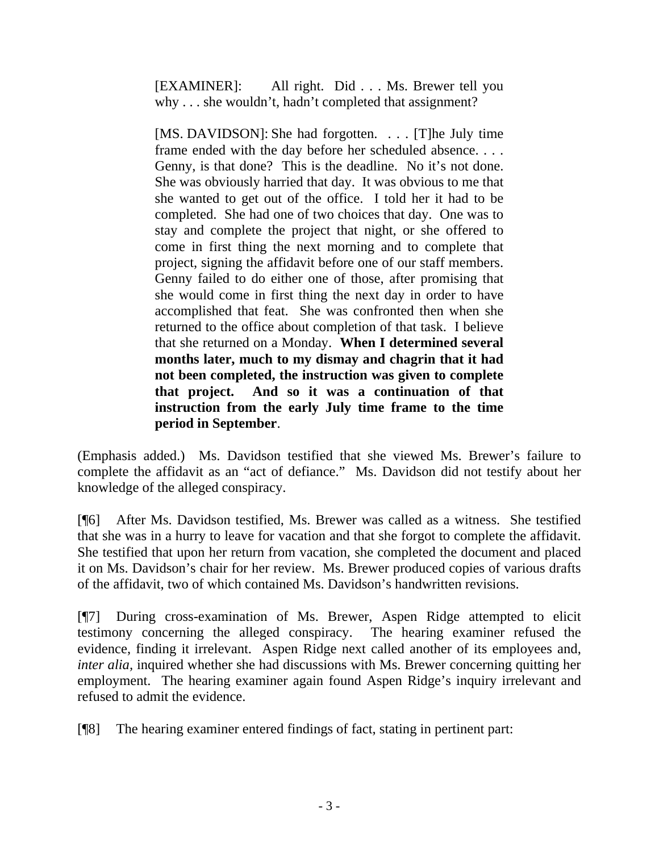[EXAMINER]: All right. Did . . . Ms. Brewer tell you why . . . she wouldn't, hadn't completed that assignment?

[MS. DAVIDSON]: She had forgotten. . . . [T]he July time frame ended with the day before her scheduled absence. . . . Genny, is that done? This is the deadline. No it's not done. She was obviously harried that day. It was obvious to me that she wanted to get out of the office. I told her it had to be completed. She had one of two choices that day. One was to stay and complete the project that night, or she offered to come in first thing the next morning and to complete that project, signing the affidavit before one of our staff members. Genny failed to do either one of those, after promising that she would come in first thing the next day in order to have accomplished that feat. She was confronted then when she returned to the office about completion of that task. I believe that she returned on a Monday. **When I determined several months later, much to my dismay and chagrin that it had not been completed, the instruction was given to complete that project. And so it was a continuation of that instruction from the early July time frame to the time period in September**.

(Emphasis added.) Ms. Davidson testified that she viewed Ms. Brewer's failure to complete the affidavit as an "act of defiance." Ms. Davidson did not testify about her knowledge of the alleged conspiracy.

[¶6] After Ms. Davidson testified, Ms. Brewer was called as a witness. She testified that she was in a hurry to leave for vacation and that she forgot to complete the affidavit. She testified that upon her return from vacation, she completed the document and placed it on Ms. Davidson's chair for her review. Ms. Brewer produced copies of various drafts of the affidavit, two of which contained Ms. Davidson's handwritten revisions.

[¶7] During cross-examination of Ms. Brewer, Aspen Ridge attempted to elicit testimony concerning the alleged conspiracy. The hearing examiner refused the evidence, finding it irrelevant. Aspen Ridge next called another of its employees and, *inter alia,* inquired whether she had discussions with Ms. Brewer concerning quitting her employment. The hearing examiner again found Aspen Ridge's inquiry irrelevant and refused to admit the evidence.

[¶8] The hearing examiner entered findings of fact, stating in pertinent part: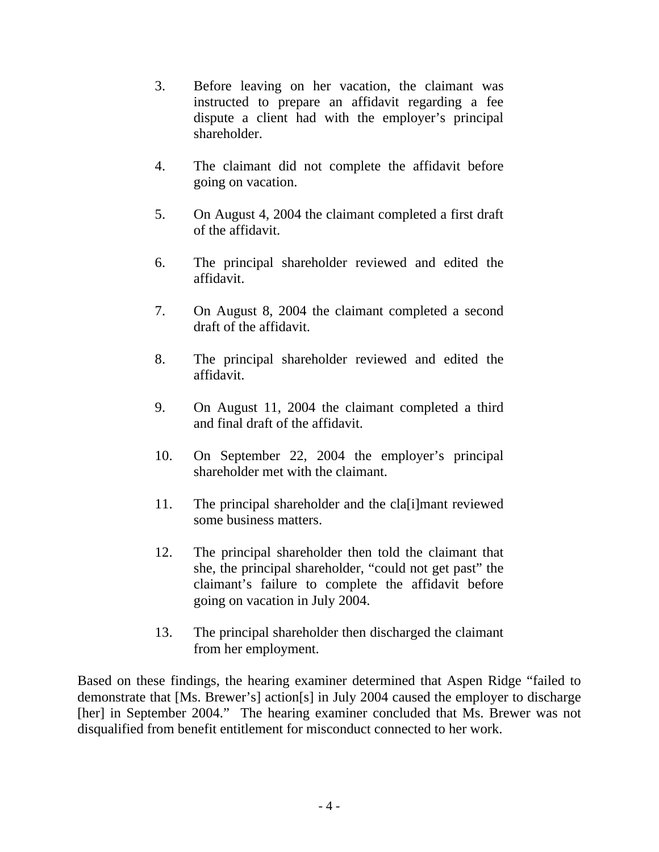- 3. Before leaving on her vacation, the claimant was instructed to prepare an affidavit regarding a fee dispute a client had with the employer's principal shareholder.
- 4. The claimant did not complete the affidavit before going on vacation.
- 5. On August 4, 2004 the claimant completed a first draft of the affidavit.
- 6. The principal shareholder reviewed and edited the affidavit.
- 7. On August 8, 2004 the claimant completed a second draft of the affidavit.
- 8. The principal shareholder reviewed and edited the affidavit.
- 9. On August 11, 2004 the claimant completed a third and final draft of the affidavit.
- 10. On September 22, 2004 the employer's principal shareholder met with the claimant.
- 11. The principal shareholder and the cla[i]mant reviewed some business matters.
- 12. The principal shareholder then told the claimant that she, the principal shareholder, "could not get past" the claimant's failure to complete the affidavit before going on vacation in July 2004.
- 13. The principal shareholder then discharged the claimant from her employment.

Based on these findings, the hearing examiner determined that Aspen Ridge "failed to demonstrate that [Ms. Brewer's] action[s] in July 2004 caused the employer to discharge [her] in September 2004." The hearing examiner concluded that Ms. Brewer was not disqualified from benefit entitlement for misconduct connected to her work.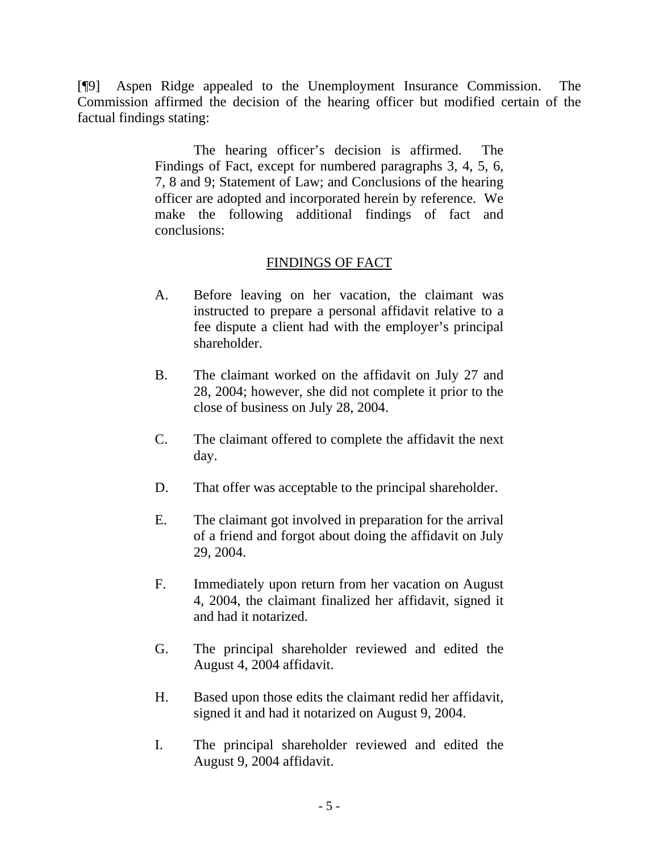[¶9] Aspen Ridge appealed to the Unemployment Insurance Commission. The Commission affirmed the decision of the hearing officer but modified certain of the factual findings stating:

> The hearing officer's decision is affirmed. The Findings of Fact, except for numbered paragraphs 3, 4, 5, 6, 7, 8 and 9; Statement of Law; and Conclusions of the hearing officer are adopted and incorporated herein by reference. We make the following additional findings of fact and conclusions:

# FINDINGS OF FACT

- A. Before leaving on her vacation, the claimant was instructed to prepare a personal affidavit relative to a fee dispute a client had with the employer's principal shareholder.
- B. The claimant worked on the affidavit on July 27 and 28, 2004; however, she did not complete it prior to the close of business on July 28, 2004.
- C. The claimant offered to complete the affidavit the next day.
- D. That offer was acceptable to the principal shareholder.
- E. The claimant got involved in preparation for the arrival of a friend and forgot about doing the affidavit on July 29, 2004.
- F. Immediately upon return from her vacation on August 4, 2004, the claimant finalized her affidavit, signed it and had it notarized.
- G. The principal shareholder reviewed and edited the August 4, 2004 affidavit.
- H. Based upon those edits the claimant redid her affidavit, signed it and had it notarized on August 9, 2004.
- I. The principal shareholder reviewed and edited the August 9, 2004 affidavit.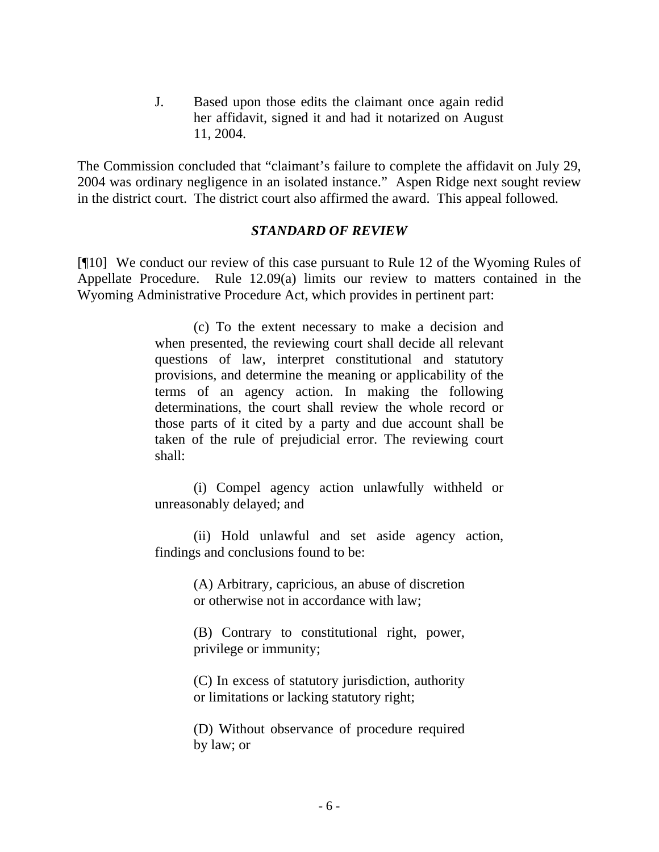J. Based upon those edits the claimant once again redid her affidavit, signed it and had it notarized on August 11, 2004.

The Commission concluded that "claimant's failure to complete the affidavit on July 29, 2004 was ordinary negligence in an isolated instance." Aspen Ridge next sought review in the district court. The district court also affirmed the award. This appeal followed.

### *STANDARD OF REVIEW*

[¶10] We conduct our review of this case pursuant to Rule 12 of the Wyoming Rules of Appellate Procedure. Rule 12.09(a) limits our review to matters contained in the Wyoming Administrative Procedure Act, which provides in pertinent part:

> (c) To the extent necessary to make a decision and when presented, the reviewing court shall decide all relevant questions of law, interpret constitutional and statutory provisions, and determine the meaning or applicability of the terms of an agency action. In making the following determinations, the court shall review the whole record or those parts of it cited by a party and due account shall be taken of the rule of prejudicial error. The reviewing court shall:

> (i) Compel agency action unlawfully withheld or unreasonably delayed; and

> (ii) Hold unlawful and set aside agency action, findings and conclusions found to be:

> > (A) Arbitrary, capricious, an abuse of discretion or otherwise not in accordance with law;

> > (B) Contrary to constitutional right, power, privilege or immunity;

> > (C) In excess of statutory jurisdiction, authority or limitations or lacking statutory right;

> > (D) Without observance of procedure required by law; or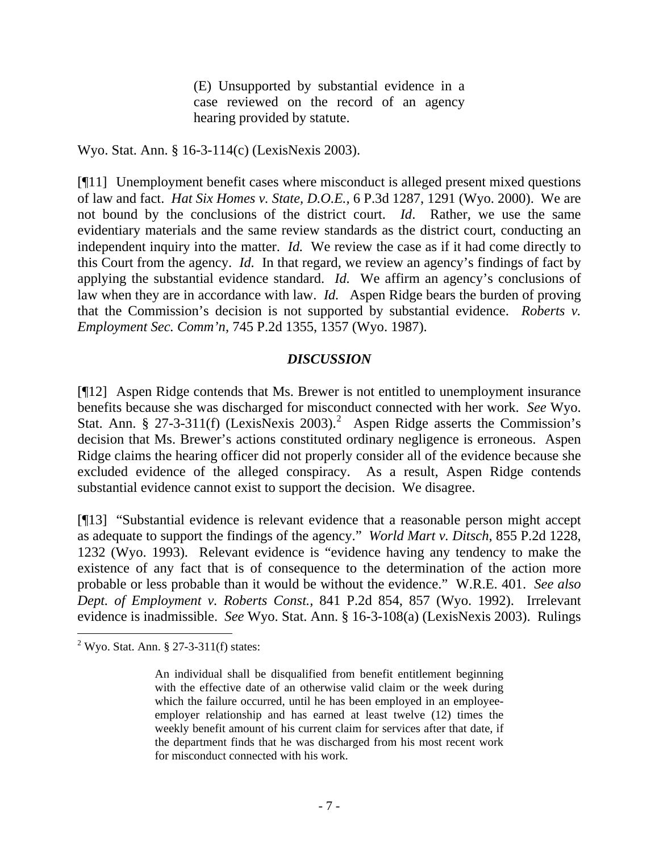(E) Unsupported by substantial evidence in a case reviewed on the record of an agency hearing provided by statute.

Wyo. Stat. Ann. § 16-3-114(c) (LexisNexis 2003).

[¶11] Unemployment benefit cases where misconduct is alleged present mixed questions of law and fact. *[Hat Six Homes v. State, D.O.E.,](http://www.lexis.com/research/xlink?app=00075&view=full&searchtype=get&search=6+P.3d+1290)* 6 P.3d 1287, 1291 (Wyo. 2000). We are not bound by the conclusions of the district court. *Id*. Rather, we use the same evidentiary materials and the same review standards as the district court, conducting an independent inquiry into the matter. *Id.* We review the case as if it had come directly to this Court from the agency. *Id.* In that regard, we review an agency's findings of fact by applying the substantial evidence standard. *Id.* We affirm an agency's conclusions of law when they are in accordance with law. *Id.* Aspen Ridge bears the burden of proving that the Commission's decision is not supported by substantial evidence. *Roberts v. Employment Sec. Comm'n*, 745 P.2d 1355, 1357 (Wyo. 1987).

# *DISCUSSION*

[¶12] Aspen Ridge contends that Ms. Brewer is not entitled to unemployment insurance benefits because she was discharged for misconduct connected with her work. *See* Wyo. Stat. Ann. § [2](#page-7-0)7-3-311(f) (LexisNexis 2003).<sup>2</sup> Aspen Ridge asserts the Commission's decision that Ms. Brewer's actions constituted ordinary negligence is erroneous. Aspen Ridge claims the hearing officer did not properly consider all of the evidence because she excluded evidence of the alleged conspiracy. As a result, Aspen Ridge contends substantial evidence cannot exist to support the decision. We disagree.

[¶13] "Substantial evidence is relevant evidence that a reasonable person might accept as adequate to support the findings of the agency." *[World Mart v. Ditsch](http://www.lexis.com/research/xlink?app=00075&view=full&searchtype=get&search=855+P.2d+1232)*, 855 P.2d 1228, [1232 \(Wyo. 1993\).](http://www.lexis.com/research/xlink?app=00075&view=full&searchtype=get&search=855+P.2d+1232) Relevant evidence is "evidence having any tendency to make the existence of any fact that is of consequence to the determination of the action more probable or less probable than it would be without the evidence." W.R.E. 401. *See also [Dept. of Employment v. Roberts Const.,](http://www.lexis.com/research/xlink?app=00075&view=full&searchtype=get&search=841+P.2d+857)* 841 P.2d 854, 857 (Wyo. 1992). Irrelevant evidence is inadmissible. *See* Wyo. Stat. Ann. § 16-3-108(a) (LexisNexis 2003). Rulings

 $\overline{a}$ 

<span id="page-7-0"></span> $2^2$  Wyo. Stat. Ann. § 27-3-311(f) states:

An individual shall be disqualified from benefit entitlement beginning with the effective date of an otherwise valid claim or the week during which the failure occurred, until he has been employed in an employeeemployer relationship and has earned at least twelve (12) times the weekly benefit amount of his current claim for services after that date, if the department finds that he was discharged from his most recent work for misconduct connected with his work.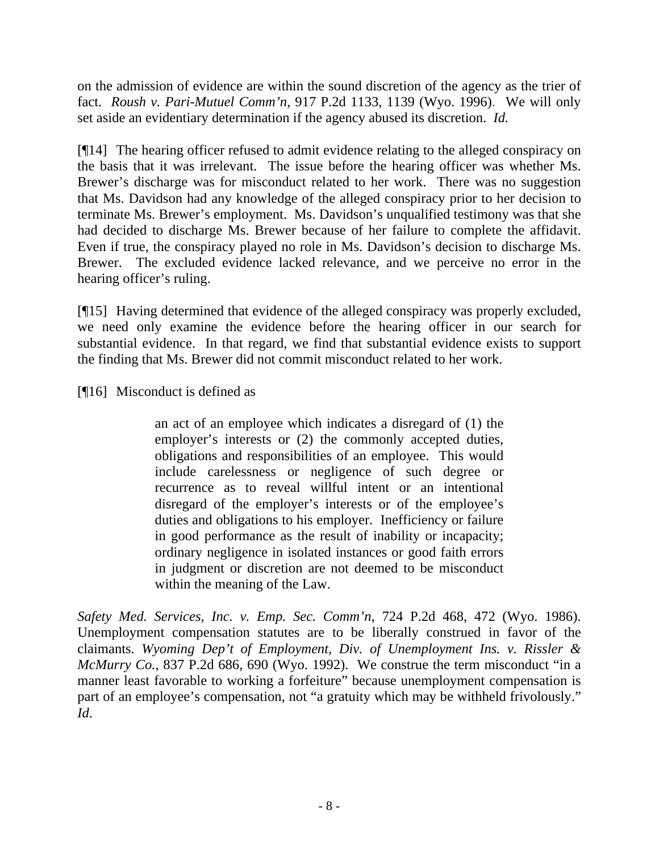on the admission of evidence are within the sound discretion of the agency as the trier of fact. *Roush v. Pari-Mutuel Comm'n,* [917 P.2d 1133, 1139 \(Wyo. 1996\)](http://www.lexis.com/research/xlink?app=00075&view=full&searchtype=get&search=917+P.2d+1139). We will only set aside an evidentiary determination if the agency abused its discretion. *Id.*

[¶14] The hearing officer refused to admit evidence relating to the alleged conspiracy on the basis that it was irrelevant. The issue before the hearing officer was whether Ms. Brewer's discharge was for misconduct related to her work. There was no suggestion that Ms. Davidson had any knowledge of the alleged conspiracy prior to her decision to terminate Ms. Brewer's employment. Ms. Davidson's unqualified testimony was that she had decided to discharge Ms. Brewer because of her failure to complete the affidavit. Even if true, the conspiracy played no role in Ms. Davidson's decision to discharge Ms. Brewer. The excluded evidence lacked relevance, and we perceive no error in the hearing officer's ruling.

[¶15] Having determined that evidence of the alleged conspiracy was properly excluded, we need only examine the evidence before the hearing officer in our search for substantial evidence. In that regard, we find that substantial evidence exists to support the finding that Ms. Brewer did not commit misconduct related to her work.

[¶16] Misconduct is defined as

an act of an employee which indicates a disregard of (1) the employer's interests or (2) the commonly accepted duties, obligations and responsibilities of an employee. This would include carelessness or negligence of such degree or recurrence as to reveal willful intent or an intentional disregard of the employer's interests or of the employee's duties and obligations to his employer. Inefficiency or failure in good performance as the result of inability or incapacity; ordinary negligence in isolated instances or good faith errors in judgment or discretion are not deemed to be misconduct within the meaning of the Law.

*Safety Med. Services, Inc. v. Emp. Sec. Comm'n*, 724 P.2d 468, 472 (Wyo. 1986). Unemployment compensation statutes are to be liberally construed in favor of the claimants. *[Wyoming Dep't of Employment, Div. of Unemployment Ins. v. Rissler &](http://www.lexis.com/research/xlink?app=00075&view=full&searchtype=get&search=837+P.2d+686)  McMurry Co.*[, 837 P.2d 686, 690 \(Wyo. 1992\).](http://www.lexis.com/research/xlink?app=00075&view=full&searchtype=get&search=837+P.2d+686) We construe the term misconduct "in a manner least favorable to working a forfeiture" because unemployment compensation is part of an employee's compensation, not "a gratuity which may be withheld frivolously." *Id*.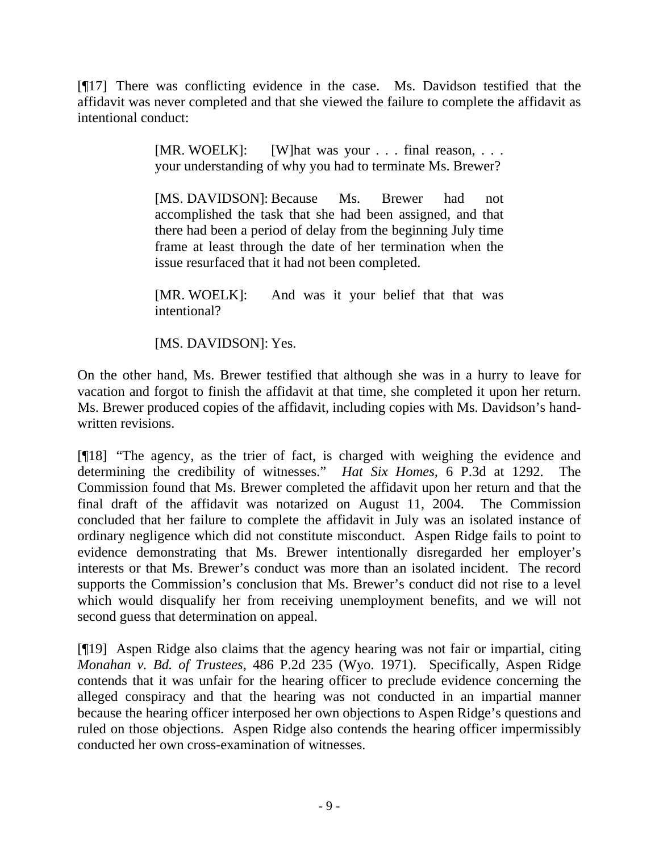[¶17] There was conflicting evidence in the case. Ms. Davidson testified that the affidavit was never completed and that she viewed the failure to complete the affidavit as intentional conduct:

> [MR. WOELK]: [W]hat was your . . . final reason, . . . your understanding of why you had to terminate Ms. Brewer?

> [MS. DAVIDSON]: Because Ms. Brewer had not accomplished the task that she had been assigned, and that there had been a period of delay from the beginning July time frame at least through the date of her termination when the issue resurfaced that it had not been completed.

> [MR. WOELK]: And was it your belief that that was intentional?

[MS. DAVIDSON]: Yes.

On the other hand, Ms. Brewer testified that although she was in a hurry to leave for vacation and forgot to finish the affidavit at that time, she completed it upon her return. Ms. Brewer produced copies of the affidavit, including copies with Ms. Davidson's handwritten revisions.

[¶18] "The agency, as the trier of fact, is charged with weighing the evidence and determining the credibility of witnesses." *[Hat Six Homes,](http://www.lexis.com/research/xlink?app=00075&view=full&searchtype=get&search=6+P.3d+1290)* 6 P.3d at 1292. The Commission found that Ms. Brewer completed the affidavit upon her return and that the final draft of the affidavit was notarized on August 11, 2004. The Commission concluded that her failure to complete the affidavit in July was an isolated instance of ordinary negligence which did not constitute misconduct. Aspen Ridge fails to point to evidence demonstrating that Ms. Brewer intentionally disregarded her employer's interests or that Ms. Brewer's conduct was more than an isolated incident. The record supports the Commission's conclusion that Ms. Brewer's conduct did not rise to a level which would disqualify her from receiving unemployment benefits, and we will not second guess that determination on appeal.

[¶19] Aspen Ridge also claims that the agency hearing was not fair or impartial, citing *Monahan v. Bd. of Trustees,* 486 P.2d 235 (Wyo. 1971). Specifically, Aspen Ridge contends that it was unfair for the hearing officer to preclude evidence concerning the alleged conspiracy and that the hearing was not conducted in an impartial manner because the hearing officer interposed her own objections to Aspen Ridge's questions and ruled on those objections. Aspen Ridge also contends the hearing officer impermissibly conducted her own cross-examination of witnesses.